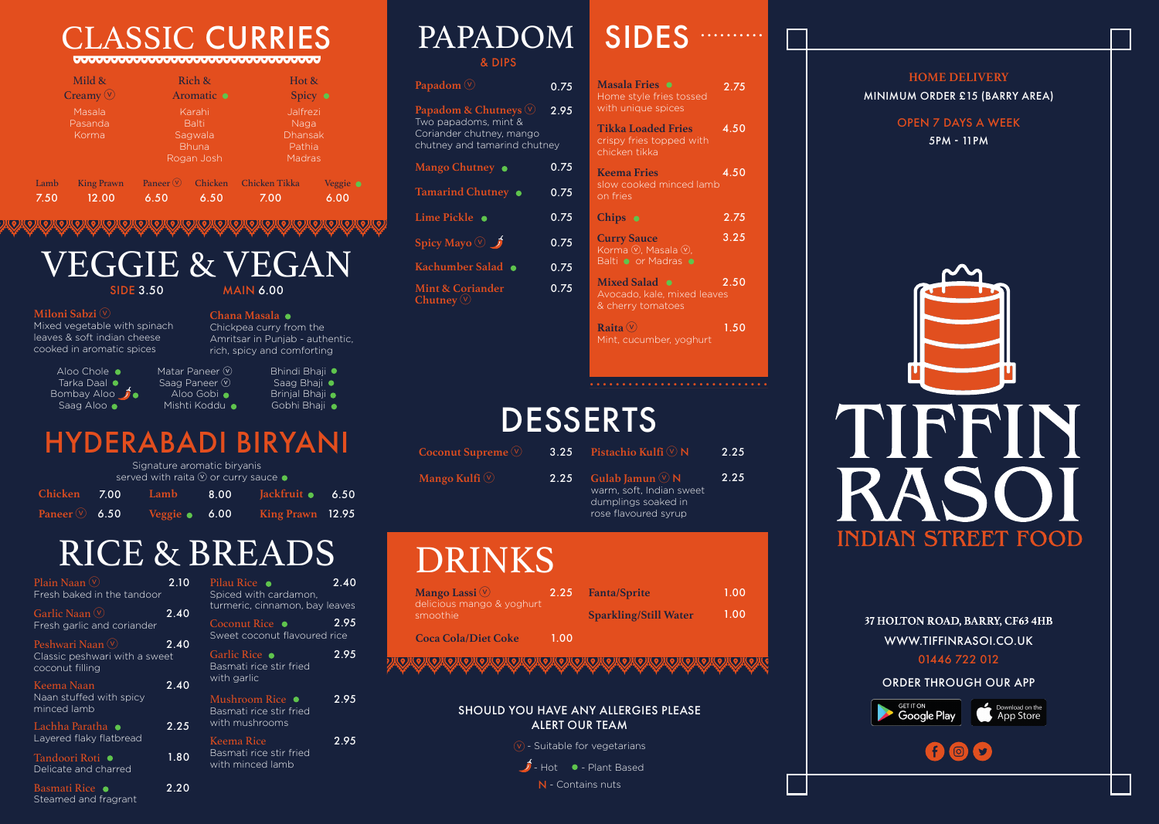• • • • • • • • • • • • • • • • • • • • • • • • • • • •

# **DESSERTS**

& DIPS

- rich, spicy and comforting Matar Paneer (V) Saag Paneer  $\circledcirc$ Aloo Gobi  $\bullet$ Bhindi Bhaji ●
- Mishti Koddu Saag Bhaji · Brinjal Bhaji • Gobhi Bhaji  $\bullet$

# VEGGIE & VEGAN

**MAIN 6.00** 

**Chana Masala**

Chickpea curry from the Amritsar in Punjab - authentic,

### **Miloni Sabzi** ⓥ

Mixed vegetable with spinach leaves & soft indian cheese cooked in aromatic spices

> Aloo Chole • Tarka Daal  $\bullet$ Bombay Aloo  $\mathcal{J}$  . Saag Aloo

|      | Mild &                     | Rich &                                                          |         | Hot &                                                         |                  |
|------|----------------------------|-----------------------------------------------------------------|---------|---------------------------------------------------------------|------------------|
|      | Creamy $\circledcirc$      | Aromatic $\bullet$                                              |         | Spicy $\bullet$                                               |                  |
|      | Masala<br>Pasanda<br>Korma | Karahi<br><b>Balti</b><br>Sagwala<br><b>Bhuna</b><br>Rogan Josh |         | Jalfrezi<br>Naga<br><b>Dhansak</b><br>Pathia<br><b>Madras</b> |                  |
| Lamb | <b>King Prawn</b>          | Paneer $\overline{\mathbb{V}}$                                  | Chicken | <b>Chicken Tikka</b>                                          | Veggie $\bullet$ |
| 7.50 | 12.00                      | 6.50                                                            | 6.50    | 7.00                                                          | 6.00             |

**Raita** ⓥ Mint, cucumber, yoghurt OPEN 7 DAYS A WEEK 5PM - 11PM



**Masala Fries** 0.75 2.75 Home style fries tossed with unique spices **Tikka Loaded Fries** crispy fries topped with chicken tikka **Keema Fries** slow cooked minced lamb on fries **Curry Sauce** Korma (V), Masala (V), Balti • or Madras • **Mixed Salad** Avocado, kale, mixed leaves & cherry tomatoes **Chips** 4.50 4.50 2.75 3.25 2.50 1.50

| <b>CLASSIC CURRIES</b>                                                                                        |  |  |
|---------------------------------------------------------------------------------------------------------------|--|--|
| ▓▕ <del>▀▟▝▟▚▀▟▀▟▝▟▀▟▀▟▀▟▀▟▀▟▀▟▀▟▀▟▀▟▀▟▀▟▀▟</del> ▞▞ <u>▟▀▞</u> ▀ <del>▟▀▟▀▟▀▟▀▟▀▟▀▟▀▟▀▟▀▟▀▟▀▟▀▟▀▟▀▟▀▟▀</del> |  |  |

| Papadom $\circledcirc$                                                                                              | 0.75 |
|---------------------------------------------------------------------------------------------------------------------|------|
| Papadom & Chutneys $\heartsuit$<br>Two papadoms, mint &<br>Coriander chutney, mango<br>chutney and tamarind chutney | 2.95 |
| Mango Chutney $\bullet$                                                                                             | 0.75 |
| Tamarind Chutney .                                                                                                  | 0.75 |
| Lime Pickle •                                                                                                       | 0.75 |
| Spicy Mayo $\circledcirc \rightarrow$                                                                               | 0.75 |
| Kachumber Salad .                                                                                                   | 0.75 |
| <b>Mint &amp; Coriander</b><br>Chutney $\circledve$                                                                 | 0.75 |

## HYDERABADI BIRYANI

| Signature aromatic biryanis<br>served with raita $\overline{\mathbb{V}}$ or curry sauce $\bullet$ |  |  |                                                     |  |
|---------------------------------------------------------------------------------------------------|--|--|-----------------------------------------------------|--|
|                                                                                                   |  |  | Chicken 7.00 Lamb 8.00 Jackfruit 6 6.50             |  |
|                                                                                                   |  |  | Paneer $\sqrt{6.50}$ Veggie • 6.00 King Prawn 12.95 |  |

 $\hat{J}$  - Hot  $\bullet$  - Plant Based N - Contains nuts

37 HOLTON ROAD, BARRY, CF63 4HB WWW.TIFFINRASOI.CO.UK 01446 722 012

**HOME DELIVERY** MINIMUM ORDER £15 (BARRY AREA)

| Mango Lassi $\circledcirc$            | 2.25  | <b>Fanta/Sprite</b>          | 1.00 |
|---------------------------------------|-------|------------------------------|------|
| delicious mango & yoghurt<br>smoothie |       | <b>Sparkling/Still Water</b> | 1.00 |
| <b>Coca Cola/Diet Coke</b>            | 1 Q.O |                              |      |

# DRINKS

| Coconut Supreme $\heartsuit$ |      | 3.25 Pistachio Kulfi $\heartsuit$ N                                                                   | 2.25 |
|------------------------------|------|-------------------------------------------------------------------------------------------------------|------|
| Mango Kulfi $\heartsuit$     | 2.25 | Gulab Jamun $\heartsuit$ N<br>warm, soft, Indian sweet<br>dumplings soaked in<br>rose flavoured syrup | 2.25 |

| Plain Naan $\mathbb O$<br>2.10<br>Fresh baked in the tandoor          |      | Pilau Rice •<br>2.40<br>Spiced with cardamon,                            |      |
|-----------------------------------------------------------------------|------|--------------------------------------------------------------------------|------|
| Garlic Naan $\mathbb O$<br>Fresh garlic and coriander                 | 2.40 | turmeric, cinnamon, bay leaves<br>Coconut Rice •                         | 2.95 |
| Peshwari Naan (V)<br>Classic peshwari with a sweet<br>coconut filling | 2.40 | Sweet coconut flavoured rice<br>Garlic Rice ●<br>Basmati rice stir fried | 2.95 |
| Keema Naan<br>Naan stuffed with spicy<br>minced lamb                  | 2.40 | with garlic<br>Mushroom Rice •<br>Basmati rice stir fried                | 2.95 |
| Lachha Paratha  ●<br>Layered flaky flatbread                          | 2.25 | with mushrooms<br><b>Keema Rice</b>                                      | 2.95 |
| Tandoori Roti ●<br>Delicate and charred                               | 1.80 | Basmati rice stir fried<br>with minced lamb                              |      |
| Basmati Rice •                                                        | 2.20 |                                                                          |      |

# PAPADOM SIDES

Steamed and fragrant

# RICE & BREADS

### SHOULD YOU HAVE ANY ALLERGIES PLEASE ALERT OUR TEAM

 $(v)$  - Suitable for vegetarians

ORDER THROUGH OUR APP